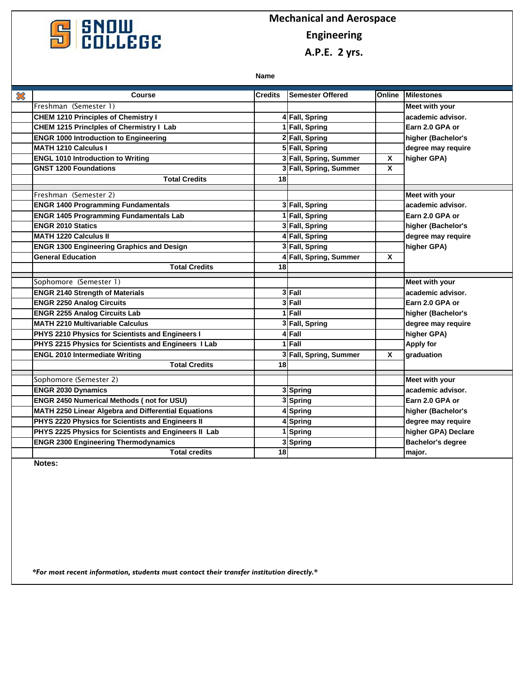

## **CONDUI**<br> **COLLEGE**<br> **COLLEGE**<br> **COLLEGE Engineering**

 **A.P.E. 2 yrs.**

**Name**

| $\boldsymbol{\mathcal{Z}}$ | <b>Course</b>                                         | <b>Credits</b> | <b>Semester Offered</b> | Online                    | <b>Milestones</b>        |
|----------------------------|-------------------------------------------------------|----------------|-------------------------|---------------------------|--------------------------|
|                            | Freshman (Semester 1)                                 |                |                         |                           | <b>Meet with your</b>    |
|                            | <b>CHEM 1210 Principles of Chemistry I</b>            |                | 4 Fall, Spring          |                           | academic advisor.        |
|                            | <b>CHEM 1215 Principles of Chermistry I Lab</b>       |                | 1 Fall, Spring          |                           | Earn 2.0 GPA or          |
|                            | <b>ENGR 1000 Introduction to Engineering</b>          |                | 2 Fall, Spring          |                           | higher (Bachelor's       |
|                            | <b>MATH 1210 Calculus I</b>                           |                | 5 Fall, Spring          |                           | degree may require       |
|                            | <b>ENGL 1010 Introduction to Writing</b>              |                | 3 Fall, Spring, Summer  | X                         | higher GPA)              |
|                            | <b>GNST 1200 Foundations</b>                          |                | 3 Fall, Spring, Summer  | X                         |                          |
|                            | <b>Total Credits</b>                                  | 18             |                         |                           |                          |
|                            | Freshman (Semester 2)                                 |                |                         |                           | Meet with your           |
|                            | <b>ENGR 1400 Programming Fundamentals</b>             |                | 3 Fall, Spring          |                           | academic advisor.        |
|                            | <b>ENGR 1405 Programming Fundamentals Lab</b>         |                | 1 Fall, Spring          |                           | Earn 2.0 GPA or          |
|                            | <b>ENGR 2010 Statics</b>                              |                | 3 Fall, Spring          |                           | higher (Bachelor's       |
|                            | <b>MATH 1220 Calculus II</b>                          |                | 4 Fall, Spring          |                           | degree may require       |
|                            | <b>ENGR 1300 Engineering Graphics and Design</b>      |                | 3 Fall, Spring          |                           | higher GPA)              |
|                            | <b>General Education</b>                              |                | 4 Fall, Spring, Summer  | X                         |                          |
|                            | <b>Total Credits</b>                                  | 18             |                         |                           |                          |
|                            | Sophomore (Semester 1)                                |                |                         |                           | <b>Meet with your</b>    |
|                            | <b>ENGR 2140 Strength of Materials</b>                |                | 3 Fall                  |                           | academic advisor.        |
|                            | <b>ENGR 2250 Analog Circuits</b>                      |                | 3 Fall                  |                           | Earn 2.0 GPA or          |
|                            | <b>ENGR 2255 Analog Circuits Lab</b>                  |                | $1$ Fall                |                           | higher (Bachelor's       |
|                            | <b>MATH 2210 Multivariable Calculus</b>               |                | 3 Fall, Spring          |                           | degree may require       |
|                            | PHYS 2210 Physics for Scientists and Engineers I      |                | 4 Fall                  |                           | higher GPA)              |
|                            | PHYS 2215 Physics for Scientists and Engineers I Lab  |                | $1$ Fall                |                           | <b>Apply for</b>         |
|                            | <b>ENGL 2010 Intermediate Writing</b>                 |                | 3 Fall, Spring, Summer  | $\boldsymbol{\mathsf{x}}$ | graduation               |
|                            | <b>Total Credits</b>                                  | 18             |                         |                           |                          |
|                            | Sophomore (Semester 2)                                |                |                         |                           | Meet with your           |
|                            | <b>ENGR 2030 Dynamics</b>                             |                | 3 Spring                |                           | academic advisor.        |
|                            | <b>ENGR 2450 Numerical Methods (not for USU)</b>      |                | 3 Spring                |                           | Earn 2.0 GPA or          |
|                            | MATH 2250 Linear Algebra and Differential Equations   |                | 4 Spring                |                           | higher (Bachelor's       |
|                            | PHYS 2220 Physics for Scientists and Engineers II     |                | 4 Spring                |                           | degree may require       |
|                            | PHYS 2225 Physics for Scientists and Engineers II Lab |                | 1 Spring                |                           | higher GPA) Declare      |
|                            | <b>ENGR 2300 Engineering Thermodynamics</b>           |                | 3 Spring                |                           | <b>Bachelor's degree</b> |
|                            | <b>Total credits</b>                                  | 18             |                         |                           | major.                   |

**Notes:**

*\*For most recent information, students must contact their transfer institution directly.\**